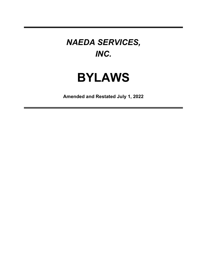## *NAEDA SERVICES, INC.*

# **BYLAWS**

**Amended and Restated July 1, 2022**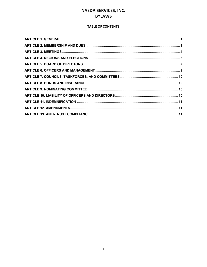#### **TABLE OF CONTENTS**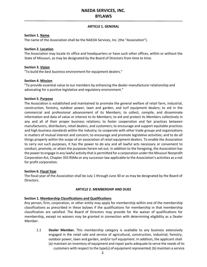#### **ARTICLE 1. GENERAL**

#### <span id="page-2-0"></span>**Section 1. Name**

The name of the Association shall be the NAEDA Services, Inc. (the "Association").

#### **Section 2. Location**

The Association may locate its office and headquarters or have such other offices, within or without the State of Missouri, as may be designated by the Board of Directors from time to time.

#### **Section 3. Vision**

"To build the best business environment for equipment dealers."

#### **Section 4. Mission**

"To provide essential value to our members by enhancing the dealer-manufacturer relationship and advocating for a positive legislative and regulatory environment."

#### **Section 5. Purpose**

The Association is established and maintained to promote the general welfare of retail farm, industrial, construction, forestry, outdoor power, lawn and garden, and turf equipment dealers; to aid in the commercial and professional advancement of its Members; to collect, compile, and disseminate information and data of value or interest to its Members; to aid and protect its Members collectively in any and all of their proper business relations; to foster cooperation and fair practices between manufacturers, distributors, retail dealers, and customers; to encourage and support equitable practices and high business standards within the industry; to cooperate with other trade groups and organizations in matters of mutual interest and concern; to encourage and promote legislative activities; and to do all things properly within the scope of an association of retail equipment dealers. To enable the Association to carry out such purposes, it has the power to do any and all lawful acts necessary or convenient to conduct, promote, or attain the purposes herein set out. In addition to the foregoing, the Association has the powerto engage in any lawful activity thatis permitted for a corporation underthe Missouri Nonprofit Corporation Act, Chapter 355 RSMo or any successor law applicable to the Association's activities as a not for profit corporation.

#### **Section 6. Fiscal Year**

The fiscal year of the Association shall be July 1 through June 30 or as may be designated by the Board of Directors.

#### **ARTICLE 2. MEMBERSHIP AND DUES**

#### <span id="page-2-1"></span>**Section 1. Membership Classifications and Qualifications**

Any person, firm, corporation, or other entity may apply for membership within one of the membership classifications as prescribed in these bylaws if the qualifications for membership in that membership classification are satisfied. The Board of Directors may provide for the waiver of qualifications for membership, except no waivers may be granted in connection with determining eligibility as a Dealer Member.

1.1 **Dealer Member.** This membership category is available to any business extensively engaged in the retail sale and service of agricultural, construction, industrial, forestry, outdoor power, lawn and garden, and/or turf equipment. In addition, the applicant shall (a) maintain an inventory of equipment and repair parts adequate to serve the needs of its customers with respect to the type(s) of equipment represented; (b) maintain a service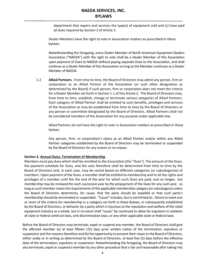department that repairs and services the type(s) of equipment sold and (c) have paid all dues required by Section 2 of Article 2.

Dealer Members have the right to vote in Association matters as prescribed in these bylaws.

Notwithstanding the foregoing, every Dealer Member of North American Equipment Dealers Association ("NAEDA") with the right to vote shall be a Dealer Member of this Association upon payment of Dues to NAEDA without paying separate Dues to the Association, and shall continue as a Dealer Member of this Association so long as the Member continues as a Dealer Member of NAEDA.

1.2 **Allied Partners.** From time to time, the Board of Directors may admit any person, firm or corporation as an Allied Partner of the Association (or such other designation as determined by the Board) if such person, firm or corporation does not meet the criteria for a Dealer Member set forth in Section 1.1 of this Article 2. The Board of Directors may, from time to time, establish, change or terminate various categories of Allied Partners. Each category of Allied Partner shall be entitled to such benefits, privileges and services of the Association as may be established from time to time by the Board of Directors or any person or committee designated by the Board of Directors. Allied Partners shall not be considered members of the Association for any purpose under applicable law.

Allied Partners do not have the right to vote in Association matters as prescribed in these bylaws.

Any person, firm, or corporation's status as an Allied Partner and/or within any Allied Partner categories established by the Board of Directors may be terminated or suspended by the Board of Directors for any reason or no reason.

#### **Section 2. Annual Dues; Termination of Membership**

Members must pay dues which shall be remitted to the Association (the "Dues"). The amount of the Dues, the payment schedule for Dues, and the uses therefore shall be determined from time to time by the Board of Directors and, in each case, may be varied based on different categories (or subcategories) of members. Upon payment of the Dues, a membershall be entitled to membership and to all the rights and privileges of a member until the the end of the year for which such Dues are paid, and no longer; but membership may be renewed for each successive year by the prepayment of the Dues for any such year, so long as such member meets the requirements of the applicable membership category (or subcategory) unless the Board of Directors determines, for cause, that the party should be expelled or that such party's membership should be terminated or suspended. "Cause" includes, but is not limited to, failure to meet one or more of the criteria for membership in a category set forth in these Bylaws, or subsequently established by the Board of Directors, or behavior by a party which is injurious to the reputation and welfare of the retail equipment industry as a whole, but in no event shall "cause" be construed to allow for expulsion in violation of state or federal antitrust laws, anti-discrimination laws, or any other applicable state or federal laws.

Before the Board of Directors may terminate, expel or suspend any member, the Board of Directors shall give the affected member (a) at least fifteen (15) days prior written notice of the termination, expulsion or suspension and the reasons therefore and (b) the opportunity to present their views to the Board of Directors, either orally or in writing as determined by the Board of Directors, at least five (5) days before the effective date of the termination, expulsion or suspension. Notwithstanding the foregoing, the Board of Directors may also terminate, expel or suspend a member by any other procedure that is fair and reasonable after taking into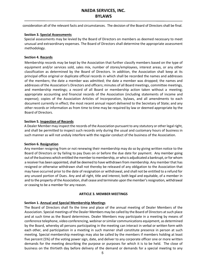consideration all of the relevant facts and circumstances. The decision of the Board of Directors shall be final.

#### **Section 3. Special Assessments**

Special assessments may be levied by the Board of Directors on members as deemed necessary to meet unusual and extraordinary expenses. The Board of Directors shall determine the appropriate assessment methodology.

#### **Section 4. Records**

Membership records may be kept by the Association that further classify members based on the type of equipment and/or services sold, sales mix, number of stores/employees, interest areas, or any other classification as determined by the Board of Directors. In addition, the Association shall keep at its principal office original or duplicate official records in which shall be recorded the names and addresses of the members; the date a member was admitted; the date a member was dropped; the names and addresses of the Association's Directors and officers; minutes of all Board meetings, committee meetings, and membership meetings; a record of all Board or membership action taken without a meeting; appropriate accounting and financial records of the Association (including statements of income and expense); copies of the Association Articles of Incorporation, bylaws, and all amendments to each document currently in effect; the most recent annual report delivered to the Secretary of State; and any other records or information as from time to time may be required by law or deemed appropriate by the Board of Directors.

#### **Section 5. Inspection of Records**

A Dealer Member may inspect the records of the Association pursuant to any statutory or other legal right, and shall be permitted to inspect such records only during the usual and customary hours of business in such manner as will not unduly interfere with the regular conduct of the business of the Association.

#### **Section 6. Resignation**

Any member resigning from or not renewing their membership may do so by giving written notice to the Board of Directors or by failing to pay Dues on or before the due date for payment. Any member going out of the business which entitled the member to membership, or who is adjudicated a bankrupt, or for whom a receiver has been appointed, shall be deemed to have withdrawn from membership. Any member that has resigned or otherwise withdrawn shall not thereby be released of any obligation to the Association that may have occurred prior to the date of resignation or withdrawal, and shall not be entitled to a refund for any unused portion of Dues. Any and all right, title and interest, both legal and equitable, of a member in and to the property of the Association, shall cease and terminate upon the member's resignation, withdrawal or ceasing to be a member for any reason.

#### **ARTICLE 3. MEMBER MEETINGS**

#### <span id="page-4-0"></span>**Section 1. Annual and Special Membership Meetings**

The Board of Directors shall fix the time and place of the annual meeting of Dealer Members of the Association. Special meetings of the Dealer Members may be called by the Board of Directors at such place and at such time as the Board determines. Dealer Members may participate in a meeting by means of conference telephone, video conferencing, webinar or similar communications equipment, as determined by the Board, whereby all persons participating in the meeting can interact in verbal or written form with each other, and participation in a meeting in such manner shall constitute presence in person at such meeting. Special membership meetings may also be called by the members if members holding at least five percent (5%) of the voting power sign, date, and deliver to any corporate officer one or more written demands for the meeting describing the purpose or purposes for which it is to be held. The close of business on the thirtieth day before delivery of the demand or demands for a special meeting to any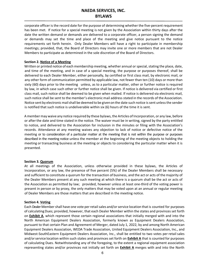corporate officer is the record date for the purpose of determining whether the five-percent requirement has been met. If notice for a special meeting is not given by the Association within thirty days after the date the written demand or demands are delivered to a corporate officer, a person signing the demand or demands may set the time and place of the meeting and give notice pursuant to the notice requirements set forth herein. Only Dealer Members will have a right to participate in membership meetings; provided, that, the Board of Directors may invite one or more members that are not Dealer Members to participate as determined in the sole discretion of the Board of Directors.

#### **Section 2. Notice of a Meeting**

Written or printed notice of each membership meeting, whether annual or special, stating the place, date, and time of the meeting, and in case of a special meeting, the purpose or purposes thereof, shall be delivered to each Dealer Member, either personally, by certified or first class mail, by electronic mail, or any other form of communication permitted by applicable law, not fewer than ten (10) days or more than sixty (60) days prior to the meeting unless, as to a particular matter, other or further notice is required by law, in which case such other or further notice shall be given. If notice is delivered via certified or first class mail, such notice shall be deemed to be given when mailed. If notice is delivered via electronic mail, such notice shall be sent to the member's electronic mail address stated in the records of the Association. Notice sent by electronic mail shall be deemed to be given on the date such notice is sent unless the sender is notified that such notice is undeliverable within six (6) hours of the time it is sent.

A member may waive any notice required by these bylaws, the Articles of Incorporation, or any law, before or afterthe date and time stated in the notice. The waiver must be in writing, signed by the party entitled to notice, and delivered to the Association for inclusion in the minutes or filing with the Association's records. Attendance at any meeting waives any objection to lack of notice or defective notice of the meeting or to consideration of a particular matter at the meeting that is not within the purpose or purposes described in the meeting notice unless the member at the beginning of the meeting objects to holding the meeting or transacting business at the meeting or objects to considering the particular matter when it is presented.

#### **Section 3. Quorum**

At all meetings of the Association, unless otherwise provided in these bylaws, the Articles of Incorporation, or any law, the presence of five percent (5%) of the Dealer Members shall be necessary and sufficient to constitute a quorum for the transaction of business, and the act or acts of the majority of the Dealer Members present at any such meeting at which there is a quorum shall be the act or acts of the Association as permitted by law; provided, however unless at least one-third of the voting power is present in person or by proxy, the only matters that may be voted upon at an annual or regular meeting of Dealer Members are those matters that are described in the meeting notice.

#### **Section 4. Voting**

Each Dealer Membershall have one vote perretailsales and/orservice location thatis counted for purposes of calculatingDues; provided, however, that each Dealer Member within the states and provinces set forth on **Exhibit A**, which represent those certain regional associations that initially merged with and into the North American Equipment Dealers Association, formerly known as Equipment Dealers Association, pursuant to that certain Plan and Agreement of Merger, dated July 1, 2022, by and among North American Equipment Dealers Association, WEDA Trade Association, United Equipment Dealers Association, Inc., and Midwest-SouthEastern Equipment Dealers Association, Inc., shall be entitled to two votes per retail sales and/or service location within such states and provinces set forth on **Exhibit A** that is counted for purposes of calculating Dues. Notwithstanding any of the foregoing, to the extent a regional equipment association representing states and/or provinces not initially set forth on **Exhibit A** merges with and into the North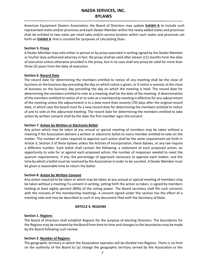American Equipment Dealers Association, the Board of Directors may update **Exhibit A** to include such represented states and/or provinces and each Dealer Member within the newly added states and provinces shall be entitled to two votes per retail sales and/or service location within such states and provinces set forth on **Exhibit A** that is counted for purposes of calculating Dues.

#### **Section 5. Proxy**

A Dealer Member may vote either in person or by proxy executed in writing signed by the Dealer Member or his/her duly authorized attorney in fact. No proxy shall be valid after eleven (11) months from the date of execution unless otherwise provided in the proxy, but in no case shall any proxy be valid for more than three (3) years from the date of execution.

#### **Section 6. Record Date**

The record date for determining the members entitled to notice of any meeting shall be the close of business on the business day preceding the day on which notice is given, orif notice is waived, atthe close of business on the business day preceding the day on which the meeting is held. The record date for determining the members entitled to vote at a meeting shall be the date of the meeting. A determination of the members entitled to notice of or to vote at a membership meeting is effective for any adjournment of the meeting unless the adjournment is to a date more than seventy (70) days after the original record date, in which case the board must fix a new record date for determining the members entitled to notice of and to vote at the adjourned meeting. The record date for determining the members entitled to take action by written consent shall be the date the first member signs the consent.

#### **Section 7. Action by Written or Electronic Ballot**

Any action which may be taken at any annual or special meeting of members may be taken without a meeting if the Association delivers a written or electronic ballot to every member entitled to vote on the matter. The number of votes required to approve such action shall be the same requirement set forth in Article 3, Section 3 of these bylaws unless the Articles of Incorporation, these bylaws, or any law require a different number. Each ballot shall contain the following: a statement of each proposed action; an opportunity to vote for or against each proposed action; the number of responses needed to meet the quorum requirements, if any; the percentage of approvals necessary to approve each matter; and the time by which a ballot must be received by the Association in order to be counted. A Dealer Member must be given a reasonable time to return the ballot.

#### **Section 8. Action by Written Consent**

Any action required to be taken or which may be taken at any annual or special meeting of members may be taken without a meeting if a consent in writing, setting forth the action so taken, is signed by members holding at least eighty percent (80%) of the voting power. The Board secretary shall file such consents with the minutes of the membership meetings. A consent signed under this section has the effect of a meeting vote and may be described as such in any document filed with the Secretary of State.

#### **ARTICLE 4. REGIONS**

#### <span id="page-6-0"></span>**Section 1. Regions**

The Board of Directors shall establish Regions for the purpose of electing Directors. The boundaries for the Regions may be reviewed by the Board from time to time and changes to the boundaries may be made by the Board following such review.

#### **Section 2. Number of Regions**

The geographic territory in which the Association operates will be divided into Regions. There is no limit on the authority of the Board to (a) change the geographic territory served by the Association or the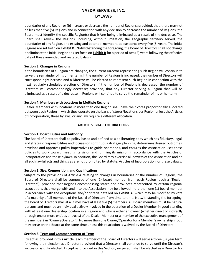boundaries of any Region or (b) increase or decrease the number of Regions; provided, that, there may not be less than five (5) Regions and in connection with any decision to decrease the number of Regions, the Board must identify the specific Region(s) that is/are being eliminated as a result of the decrease. The Board shall review the Regions, including, without limitation, the geographic territory served, the boundaries of any Region, and existing and potential members, at least once every five (5) years. The initial Regions are set forth on **Exhibit B**. Notwithstanding the foregoing, the Board of Directors shall not change or eliminate the initial Regions as set forth on **Exhibit B** for a period of two (2) years following the effective date of these amended and restated bylaws.

#### **Section 3. Changes in Regions**

If the boundaries of a Region are changed, the current Director representing such Region will continue to serve the remainder of his or her term. If the number of Regions is increased, the number of Directors will correspondingly increase and a Director will be elected to represent such Region in connection with the next regularly scheduled election of Directors. If the number of Regions is decreased, the number of Directors will correspondingly decrease; provided, that any Director serving a Region that will be eliminated as a result of a decrease in Regions will continue to serve the remainder of his or herterm.

#### **Section 4. Members with Locations in Multiple Regions**

Dealer Members with locations in more than one Region shall have their votes proportionally allocated between each Region in which they operate on the basis of stores/locations per Region unless the Articles of Incorporation, these bylaws, or any law require a different allocation.

#### **ARTICLE 5. BOARD OF DIRECTORS**

#### <span id="page-7-0"></span>**Section 1. Board Duties and Authority**

The Board of Directors shall be policy-based and defined as a deliberating body which has fiduciary, legal, and strategic responsibilities and focuses on continuousstrategic planning, determines desired outcomes, develops and approves policy imperatives to guide operations, and ensures the Association uses these policies to work toward meeting its vision and fulfilling its mission in accordance with the Articles of Incorporation and these bylaws. In addition, the Board may exercise all powers of the Association and do all such lawful acts and things as are not prohibited by statute, Articles of Incorporation, or these bylaws.

#### **Section 2. Size, Composition, and Qualifications**

Subject to the provisions of Article 4 relating to changes in boundaries or the number of Regions, the Board of Directors shall be composed of one (1) board member from each Region (each a "Region Director"); provided that Regions encompassing states and provinces represented by certain regional associations that merge with and into the Association may be allowed more than one (1) board member in accordance with the exceptions and/or criteria detailed on **Exhibit A,** which may be modified by vote of a majority of all members of the Board of Directors from time to time. Notwithstanding the foregoing, the Board of Directors shall at all times have at least five (5) members. All Board members must be natural persons and must be an individual actively involved in the operation of a Dealer Member in good standing with at least one dealership location in a Region and who is either an owner (whether direct or indirectly through one or more entities or trusts) of the Dealer Member or a member of the executive management of the member (an "Owner/Operator"). No more than one Owner/Operator for a Member's ownership group may serve on the Board at the same time unless this restriction is waived by the Board of Directors.

#### **Section 3. Term and Commencement of Term**

Except as provided in this Article, each member of the Board of Directors will serve a three (3) year term following their election as a Director; provided that a Director shall continue to serve until the Director's successor is duly elected. Except as provided in this Section, no person shall be elected as a Director for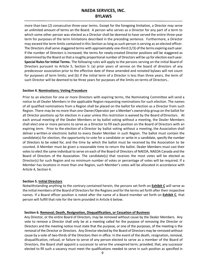more than two (2) consecutive three-year terms. Except for the foregoing limitation, a Director may serve an unlimited amount of terms on the Board. A person who serves as a Director for any part of a term to which some other person was elected as a Director shall be deemed to have served the entire three-year term for purposes of the term limitations described in the preceding sentence. Furthermore, a Director may exceed the term limits contained in this Section aslong assuch person isserving as an elected officer. The Directors shall serve staggered terms with approximately one-third (1/3) of the terms expiring each year. If the number of Directors is increased, the terms for newly-created Director positions will be staggered as determined by the Board so that a roughly proportional number of Directors will be up for election each year. **Special Rules for Initial Terms.** The following rules will apply to the persons serving on the initial Board of Directors pursuant to Article 5, Section 5: (a) prior years of service on the board of directors of any predecessor association prior to the effective date of these amended and restated bylaws will not count for purposes of term limits; and (b) if the initial term of a Director is less than three years, the term of such Director will be deemed to be three years for purposes of the limits on terms of Directors..

#### **Section 4. Nominations; Voting Procedure**

Prior to an election for one or more Directors with expiring terms, the Nominating Committee will send a notice to all Dealer Members in the applicable Region requesting nominations for such election. The names of all qualified nominations from a Region shall be placed on the ballot for election as a Director from such Region. There may be no more than one Owner/Operator per a Member's ownership group on the ballot for all Director positions up for election in a year unless this restriction is waived by the Board ofDirectors. At each annual meeting of the Dealer Members or by ballot voting without a meeting, the Dealer Members shall elect one or more persons to serve as a Director to fill each position on the Board of Directors with an expiring term. Prior to the election of a Director by ballot voting without a meeting, the Association shall deliver a written or electronic ballot to every Dealer Member in such Region. The ballot must contain the candidate(s) for election, the opportunity to vote for a candidate or write-in a candidate, specify the number of Directors to be voted for, and the time by which the ballot must be received by the Association to be counted. A Member must be given a reasonable time to return the ballot. Dealer Members must cast their votes to elect the same individual to serve on each of the Board of Directors of NAEDA, NAEDA Canada and the Board of Directors of the Association. The candidate(s) that receives the most votes will be elected as Director(s) for such Region and no minimum number of votes or percentage of votes will be required. If a Member has locations in more than one Region, such Member's votes will be allocated in accordance with Article 4, Section 4.

#### **Section 5. Initial Directors**

Notwithstanding anything to the contrary contained herein, the persons set forth on **Exhibit C** will serve as the initial members of the Board of Directors for the Regions and for the terms set forth after their respective names. If a Board officer position is noted after the name of a Board member set forth on **Exhibit C**, that person will fulfill that role for the term provided in Article 6 below.

#### **Section 6. Removal; Death, Resignation, Disqualification, or Cessation of Business**

Any Director, or the entire Board of Directors, may be removed without cause by the Dealer Members. Any vote to remove a Director shall only be at a meeting called for the purpose of removing the Director or Directors and the meeting notice must state that the purpose, or one of the purposes, of the meeting is the removal of the Director or Directors. Any Director elected by the Board of Directors may be removed without cause by a vote of two-thirds of the Directors then in office. In the event of the death, resignation, removal, disqualification, refusal, or failure to serve of any person elected to serve as a member of the Board of Directors, the Board shall appoint a successor to serve the unexpired term; provided, that, any successor elected to fill such a vacancy must meet the qualifications needed to serve in such position as specified in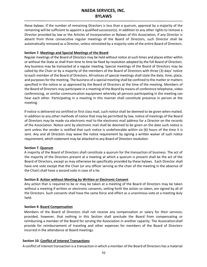these bylaws. If the number of remaining Directors is less than a quorum, approval by a majority of the remaining will be sufficient to appoint a qualified successor(s)*.* In addition to any other rights to remove a Director provided by law or the Articles of Incorporation or Bylaws of this Association, if any Director is absent from three consecutive regular meetings of the Board of Directors, such Director shall be automatically removed as a Director, unless reinstated by a majority vote of the entire Board of Directors.

#### **Section 7. Meetings and Special Meetings of the Board**

Regular meetings of the Board of Directors may be held without notice at such times and places either within or without the State as shall from time to time be fixed by resolution adopted by the full Board of Directors. Any business may be transacted at a regular meeting. Special meetings of the Board of Directors may be called by the Chair or by a majority of the members of the Board of Directors with three (3) days' notice to each member of the Board of Directors. All notices of special meetings shall state the date, time, place, and purposes for the meeting. The business of a special meeting shall be confined to the matter or matters specified in the notice or as approved by the Board of Directors at the time of the meeting. Members of the Board of Directors may participate in a meeting of the Board by means of conference telephone, video conferencing, or similar communication equipment whereby all persons participating in the meeting can hear each other. Participating in a meeting in this manner shall constitute presence in person at the meeting.

If notice is delivered via certified or first class mail, such notice shall be deemed to be given when mailed. In addition to any other methods of notice that may be permitted by law, notice of meetings of the Board of Directors may be made via electronic mail to the electronic mail address for a Director on the records of the Association. Notice sent by electronic mail shall be deemed to be given on the date such notice is sent unless the sender is notified that such notice is undeliverable within six (6) hours of the time it is sent. Any and all Directors may waive the notice requirement by signing a written waiver of such notice requirement, which statement may be attached to any Board of Directors resolution.

#### **Section 7. Quorum**

A majority of the Board of Directors shall constitute a quorum for the transaction of business. The act of the majority of the Directors present at a meeting at which a quorum is present shall be the act of the Board of Directors, except as may otherwise be specifically provided by these bylaws. Each Director shall have one vote except that the Chair (or any officer serving as the chair of the meeting in the absence of the Chair) shall have a second vote in case of a tie.

#### **Section 8. Action without Meeting by Written or Electronic Consent**

Any action that is required to be or may be taken at a meeting of the Board of Directors may be taken without a meeting if written or electronic consents, setting forth the action so taken, are signed by all of the Directors. Such consents shall have the same force and effect as a unanimous vote at a meeting duly held.

#### **Section 9. Board Compensation**

Members of the Board of Directors shall not receive any compensation or salary for their services; provided, however, that nothing in this Section shall preclude the Board from compensating or reimbursing a member of the Board for serving the Association in another capacity. The Associationshall provide for reimbursement of traveling and other expenses for members of the Board of Directors incurred in the attendance at Board meetings.

#### **Section 10. Conflict of Interest Transactions**

A conflict of interest transaction is a transaction in which a member of the Board of Directors has a material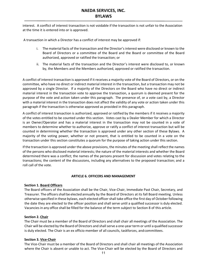interest. A conflict of interest transaction is not voidable if the transaction is not unfair to the Association at the time it is entered into or is approved.

A transaction in which a Director has a conflict of interest may be approved if:

- i. The material facts of the transaction and the Director's interest were disclosed or known to the Board of Directors or a committee of the Board and the Board or committee of the Board authorized, approved or ratified the transaction; or
- ii. The material facts of the transaction and the Director's interest were disclosed to, or known by, the Members and the Members authorized, approved or ratified the transaction.

A conflict of interest transaction is approved if it receives a majority vote of the Board of Directors, or on the committee, who have no direct or indirect material interest in the transaction, but a transaction may not be approved by a single Director. If a majority of the Directors on the Board who have no direct or indirect material interest in the transaction vote to approve the transaction, a quorum is deemed present for the purpose of the vote and action taken under this paragraph. The presence of, or a vote cast by, a Director with a material interest in the transaction does not affect the validity of any vote or action taken under this paragraph if the transaction is otherwise approved as provided in this paragraph.

A conflict of interest transaction is authorized, approved or ratified by the members if it receives a majority of the votes entitled to be counted under this section. Votes cast by a Dealer Member for which a Director is an Owner/Operator and has a material interest in the transaction may not be counted in a vote of members to determine whether to authorize, approve or ratify a conflict of interest transaction but will be counted in determining whether the transaction is approved under any other section of these Bylaws. A majority of the voting power, whether or not present, that is entitled to be counted in a vote on the transaction under this section constitutes a quorum for the purpose of taking action under this section.

If the transaction is approved under the above provisions, the minutes of the meeting shall reflect the names of the persons who disclosed material interests; the nature of the material interests and whether the Board determined there was a conflict; the names of the persons present for discussion and votes relating to the transactions; the content of the discussions, including any alternatives to the proposed transaction; and a roll call of the vote.

#### **ARTICLE 6. OFFICERS AND MANAGEMENT**

#### <span id="page-10-0"></span>**Section 1. Board Officers**

The Board officers of the Association shall be the Chair, Vice-Chair, Immediate Past Chair, Secretary, and Treasurer. The officersshall be elected annually by the Board of Directors at its fall Board meeting. Unless otherwise specified in these bylaws, each elected officer shall take office the first day of October following the date they are elected to the officer position and shall serve until a qualified successor is duly elected. Vacancies in any office shall be filled for the balance of the term subject to Section 8 of this article.

#### **Section 2. Chair**

The Chair must be a member of the Board of Directors and shall chair all meetings of the Association. The Chair will be elected by the Board of Directors and shall serve a one-year term or until a qualified successor is duly elected. The Chair is an ex officio member of all councils, taskforces, andcommittees.

#### **Section 3. Vice-Chair**

The Vice-Chair must be a member of the Board of Directors and shall chair all meetings of the Association where the Chair is absent or unable to act. The Vice-Chair will be elected by the Board of Directors and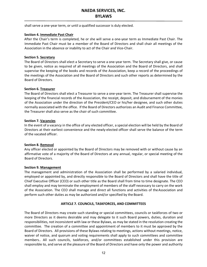shall serve a one-year term, or until a qualified successor is duly elected.

#### **Section 4. Immediate Past Chair**

After the Chair's term is completed, he or she will serve a one-year term as Immediate Past Chair. The Immediate Past Chair must be a member of the Board of Directors and shall chair all meetings of the Association in the absence or inability to act of the Chair and Vice-Chair.

#### **Section 5. Secretary**

The Board of Directors shall elect a Secretary to serve a one-year term. The Secretary shall give, or cause to be given, notice as required of all meetings of the Association and the Board of Directors, and shall supervise the keeping of the books and records of the Association, keep a record of the proceedings of the meetings of the Association and the Board of Directors and such other reports as determined by the Board of Directors.

#### **Section 6. Treasurer**

The Board of Directors shall elect a Treasurer to serve a one-year term. The Treasurer shall supervise the keeping of the financial records of the Association, the receipt, deposit, and disbursement of the monies of the Association under the direction of the President/CEO or his/her designee, and such other duties normally associated with the office. If the Board of Directors authorizes an Audit and Finance Committee, the Treasurer shall also serve as the chair of such committee.

#### **Section 7. Vacancies**

In the event of a vacancy in the office of any elected officer, a special election will be held by the Board of Directors at their earliest convenience and the newly-elected officer shall serve the balance of the term of the vacated officer.

#### **Section 8. Removal**

Any officer elected or appointed by the Board of Directors may be removed with or without cause by an affirmative vote of a majority of the Board of Directors at any annual, regular, or special meeting of the Board of Directors.

#### **Section 9. Management**

The management and administration of the Association shall be performed by a salaried individual, employed or appointed by, and directly responsible to the Board of Directors and shall have the title of Chief Executive Officer (CEO) or such other title as the Board shall from time to time designate. The CEO shall employ and may terminate the employment of members of the staff necessary to carry on the work of the Association. The CEO shall manage and direct all functions and activities of theAssociation and perform such other duties as may be authorized and/or specified by the Board.

#### **ARTICLE 7. COUNCILS, TASKFORCES, AND COMMITTEES**

<span id="page-11-0"></span>The Board of Directors may create such standing or special committees, councils or taskforces of two or more Directors as it deems desirable and may delegate to it such Board powers, duties, duration and responsibilities, not inconsistent with law or these Bylaws, as may be stated in the resolution creating the committee. The creation of a committee and appointment of members to it must be approved by the Board of Directors. All provisions of these Bylaws relating to meetings, actions without meetings, notice, waiver of notice, and quorum and voting requirements shall apply to such committees and committee members.. All such councils, taskforces, and/or committees established under this provision are responsible to, and serve at the pleasure of the Board of Directors and have only the power and authority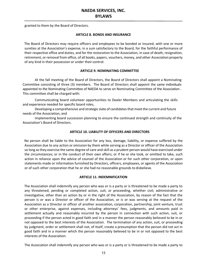<span id="page-12-0"></span>granted to them by the Board of Directors.

#### **ARTICLE 8. BONDS AND INSURANCE**

The Board of Directors may require officers and employees to be bonded or insured, with one or more sureties at the Association's expense, in a sum satisfactory to the Board, for the faithful performance of their respective office and duties, and for the restoration to the Association, in case of death, resignation, retirement, or removal from office, of all books, papers, vouchers, money, and other Association property of any kind in their possession or under their control.

#### **ARTICLE 9. NOMINATING COMMITTEE**

<span id="page-12-1"></span>At the fall meeting of the Board of Directors, the Board of Directors shall appoint a Nominating Committee consisting of three (3) members. The Board of Directors shall appoint the same individuals appointed to the Nominating Committee of NAEDA to serve on Nominating Committee of the Association . This committee shall be charged with:

Communicating board volunteer opportunities to Dealer Members and articulating the skills and experience needed for specific board roles,

Developing a comprehensive and strategic slate of candidates that meet the current and future needs of the Association, and

Implementing board succession planning to ensure the continued strength and continuity of the Association's Board of Directors.

#### **ARTICLE 10. LIABILITY OF OFFICERS AND DIRECTORS**

<span id="page-12-2"></span>No person shall be liable to the Association for any loss, damage, liability, or expense suffered by the Association due to any action or omission by them while serving as a Director or officer of the Association so long asthey exercise the same degree of care and skill as a prudent person would have exercised under the circumstances; or in the conduct of their own affairs; or if he or she took, or omitted to take, such action in reliance upon the advice of counsel of the Association or for such other corporation, or upon statements made or information furnished by Directors, officers, employees, or agents of the Association or of such other corporation that he or she had no reasonable grounds to disbelieve.

#### **ARTICLE 11. INDEMNIFICATION**

<span id="page-12-3"></span>The Association shall indemnify any person who was or is a party or is threatened to be made a party to any threatened, pending or completed action, suit, or proceeding, whether civil, administrative or investigative, other than an action by or in the right of the Association, by reason of the fact that the person is or was a Director or officer of the Association, or is or was serving at the request of the Association as a Director or officer of another association, corporation, partnership, joint venture, trust or other enterprise, against expenses, including attorneys' fees, judgments, and amounts paid in settlement actually and reasonably incurred by the person in connection with such action, suit, or proceeding if the person acted in good faith and in a manner the person reasonably believed to be in or not opposed to the best interests of the Association. The termination of any action, suit, or proceeding by judgment, order or settlement shall not, of itself, create a presumption that the person did not act in good faith and in a manner which the person reasonably believed to be in or not opposed to the best interests of the Association.

The Association shall indemnify any person who was or is a party or is threatened to be made a party to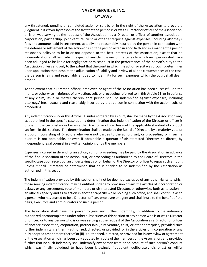any threatened, pending or completed action or suit by or in the right of the Association to procure a judgment in its favor by reason of the fact that the person is or was a Director or officer of the Association, or is or was serving at the request of the Association as a Director or officer of another association, corporation, partnership, joint venture, trust or other enterprise against expenses, including attorneys' fees and amounts paid in settlement, actually and reasonably incurred by the person in connection with the defense or settlement of the action or suit if the person acted in good faith and in a manner the person reasonably believed to be in or not opposed to the best interests of the Association; except that no indemnification shall be made in respect of any claim, issue, or matter as to which such person shall have been adjudged to be liable for negligence or misconduct in the performance of the person's duty to the Association unless and only to the extent that the court in which the action or suit was brought determines upon application that, despite the adjudication of liability and in view of all the circumstances of the case, the person is fairly and reasonably entitled to indemnity for such expenses which the court shall deem proper.

To the extent that a Director, officer, employee or agent of the Association has been successful on the merits or otherwise in defense of any action, suit, or proceeding referred to in this Article 11, or in defense of any claim, issue or matter therein, that person shall be indemnified against expenses, including attorneys' fees, actually and reasonably incurred by that person in connection with the action, suit, or proceeding.

Any indemnification under this Article 11, unless ordered by a court, shall be made by the Association only as authorized in the specific case upon a determination that indemnification of the Director or officer is proper in the circumstances because the Director or officer has met the applicable standard of conduct set forth in this section. The determination shall be made by the Board of Directors by a majority vote of a quorum consisting of Directors who were not parties to the action, suit, or proceeding, or if such a quorum is not obtainable, or even if obtainable a quorum of disinterested Directors so directs, by independent legal counsel in a written opinion, or by the members.

Expenses incurred in defending an action, suit or proceeding may be paid by the Association in advance of the final disposition of the action, suit, or proceeding as authorized by the Board of Directors in the specific case upon receipt of an undertaking by or on behalf of the Director or officer to repay such amount unless it shall ultimately be determined that he is entitled to be indemnified by the Association as authorized in this section.

The indemnification provided by this section shall not be deemed exclusive of any other rights to which those seeking indemnification may be entitled under any provision of law, the articles of incorporation or bylaws or any agreement, vote of members or disinterested Directors or otherwise, both as to action in an official capacity and as to action in another capacity while holding such office, and shall continue as to a person who has ceased to be a Director, officer, employee or agent and shall inure to the benefit of the heirs, executors and administrators of such a person.

The Association shall have the power to give any further indemnity, in addition to the indemnity authorized or contemplated under other subsections of this section to any person who is or was a Director or officer, or to any person who is or was serving at the request of the Association as a Director or officer of another association, corporation, partnership, joint venture, trust, or other enterprise, provided such further indemnity is either (i) authorized, directed, or provided for in the articles of incorporation or any duly adopted amendment thereof or (ii) is authorized, directed, or provided for in any bylaw or agreement of the Association which has been duly adopted by a vote of the members of the Association, and provided further that no such indemnity shall indemnify any person from or on account of such person's conduct which was finally adjudged to have been knowingly fraudulent, deliberately dishonest or willful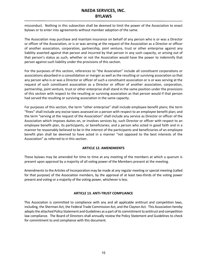misconduct. Nothing in this subsection shall be deemed to limit the power of the Association to enact bylaws or to enter into agreements without member adoption of the same.

The Association may purchase and maintain insurance on behalf of any person who is or was a Director or officer of the Association, or is or was serving at the request of the Association as a Director or officer of another association, corporation, partnership, joint venture, trust or other enterprise against any liability asserted against that person and incurred by that person in any such capacity, or arising out of that person's status as such, whether or not the Association would have the power to indemnify that person against such liability under the provisions of this section.

For the purposes of this section, references to "the Association" include all constituent corporations or associations absorbed in a consolidation or merger as well as the resulting or surviving association so that any person who is or was a Director or officer of such a constituent association or is or was serving at the request of such constituent association as a Director or officer of another association, corporation, partnership, joint venture, trust or other enterprise shall stand in the same position under the provisions of this section with respect to the resulting or surviving association as that person would if that person had served the resulting or surviving association in the same capacity.

For purposes of this section, the term "other enterprise" shall include employee benefit plans; the term "fines" shall include any excise taxes assessed on a person with respect to an employee benefit plan; and the term "serving at the request of the Association" shall include any service as Director or officer of the Association which imposes duties on, or involves services by, such Director or officer with respect to an employee benefit plan, its participants, or beneficiaries; and a person who acted in good faith and in a manner he reasonably believed to be in the interest of the participants and beneficiaries of an employee benefit plan shall be deemed to have acted in a manner "not opposed to the best interests of the Association" as referred to in this section .

#### **ARTICLE 12. AMENDMENTS**

<span id="page-14-0"></span>These bylaws may be amended for time to time at any meeting of the members at which a quorum is present upon approval by a majority of all voting power of the Members present at the meeting.

Amendments to the Articles of Incorporation may be made at any regular meeting or special meeting (called for that purpose) of the Association members, by the approval of at least two-thirds of the voting power present and voting or a majority of the voting power, whichever is less.

#### **ARTICLE 13. ANTI-TRUST COMPLIANCE**

<span id="page-14-1"></span>This Association is committed to compliance with any and all applicable antitrust and competition laws, including, the Sherman Act, the Federal Trade Commission Act, and the Clayton Act. This Association hereby adopts the attached Policy Statement and Guidelines as a part of its commitment to antitrust and competition law compliance. The Board of Directors shall annually review the Policy Statement and Guidelines to check for commitment to and compliance with this document.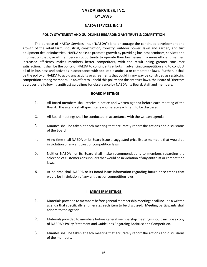#### **NAEDA SERVICES, INC.'S**

#### **POLICY STATEMENT AND GUIDELINES REGARDING ANTITRUST & COMPETITION**

The purpose of NAEDA Services, Inc. ("**NAEDA**") is to encourage the continued development and growth of the retail farm, industrial, construction, forestry, outdoor power, lawn and garden, and turf equipment dealer industries. NAEDA seeks to promote growth by providing business seminars, services and information that give all members an opportunity to operate their businesses in a more efficient manner. Increased efficiency makes members better competitors, with the result being greater consumer satisfaction. It shall be the policy of NAEDA to continue its efforts in advancing competition and to conduct all of its business and activities in accordance with applicable antitrust or competition laws. Further, it shall be the policy of NAEDA to avoid any activity or agreements that could in any way be construed as restricting competition among members. In an effort to uphold this policy and the antitrust laws, the Board of Directors approves the following antitrust guidelines for observance by NAEDA, its Board, staff and members.

#### **I. BOARD MEETINGS**

- 1. All Board members shall receive a notice and written agenda before each meeting of the Board. The agenda shall specifically enumerate each item to be discussed.
- 2. All Board meetings shall be conducted in accordance with the written agenda.
- 3. Minutes shall be taken at each meeting that accurately report the actions and discussions of the Board.
- 4. At no time shall NAEDA or its Board issue a suggested price list to members that would be in violation of any antitrust or competition laws.
- 5. Neither NAEDA nor its Board shall make recommendations to members regarding the selection of customers or suppliers that would be in violation of any antitrust or competition laws.
- 6. At no time shall NAEDA or its Board issue information regarding future price trends that would be in violation of any antitrust or competition laws.

#### **II. MEMBER MEETINGS**

- 1. Materials provided to members before general membership meetings shall include a written agenda that specifically enumerates each item to be discussed. Meeting participants shall adhere to the agenda.
- 2. Materials provided to members before general membership meetings should include a copy of NAEDA's Policy Statement and Guidelines Regarding Antitrust and Competition.
- 3. Minutes shall be taken at each meeting that accurately report the actions and discussions of the members.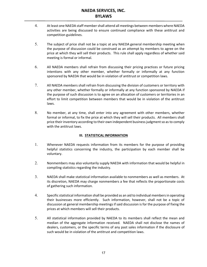- 4. At least one NAEDA staff member shall attend all meetings between members where NAEDA activities are being discussed to ensure continued compliance with these antitrust and competition guidelines.
- 5. The subject of price shall not be a topic at any NAEDA general membership meeting when the purpose of discussion could be construed as an attempt by members to agree on the price at which they will sell their products. This rule shall apply regardless of whether said meeting is formal or informal.
- 6. All NAEDA members shall refrain from discussing their pricing practices or future pricing intentions with any other member, whether formally or informally at any function sponsored by NAEDA that would be in violation of antitrust or competition laws.
- 7. All NAEDA members shall refrain from discussing the division of customers or territory with any other member, whether formally or informally at any function sponsored by NAEDA if the purpose of such discussion is to agree on an allocation of customers or territories in an effort to limit competition between members that would be in violation of the antitrust laws.
- 8. No member, at any time, shall enter into any agreement with other members, whether formal or informal, to fix the price at which they will sell their products. All members shall price their inventory according to their own independent business judgment so as to comply with the antitrust laws.

#### **III. STATISTICAL INFORMATION**

- 1. Whenever NAEDA requests information from its members for the purpose of providing helpful statistics concerning the industry, the participation by each member shall be voluntary.
- 2. Nonmembers may also voluntarily supply NAEDA with information that would be helpful in compiling statistics regarding the industry.
- 3. NAEDA shall make statistical information available to nonmembers as well as members. At its discretion, NAEDA may charge nonmembers a fee that reflects the proportionate costs of gathering such information.
- 4. Specific statistical information shall be provided as an aid to individual members in operating their businesses more efficiently. Such information, however, shall not be a topic of discussion at general membership meetings if said discussion is for the purpose of fixing the prices at which members will sell their products.
- 5. All statistical information provided by NAEDA to its members shall reflect the mean and median of the aggregate information received. NAEDA shall not disclose the names of dealers, customers, or the specific terms of any past sales information if the disclosure of such would be in violation of the antitrust and competition laws.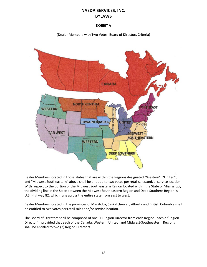#### **EXHIBIT A**

(Dealer Members with Two Votes; Board of Directors Criteria)



Dealer Members located in those states that are within the Regions designated "Western", "United", and "Midwest Southeastern" above shall be entitled to two votes per retail sales and/or service location. With respect to the portion of the Midwest Southeastern Region located within the State of Mississippi, the dividing line in the State between the Midwest Southeastern Region and Deep Southern Region is U.S. Highway 82, which runs across the entire state from east to west.

Dealer Members located in the provinces of Manitoba, Saskatchewan, Alberta and British Columbia shall be entitled to two votes per retail sales and/or service location.

The Board of Directors shall be composed of one (1) Region Director from each Region (each a "Region Director"); provided that each of the Canada, Western, United, and Midwest-Southeastern Regions shall be entitled to two (2) Region Directors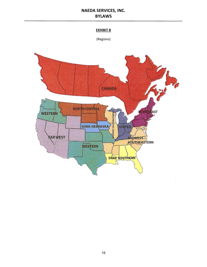#### **EXHIBIT B**

(Regions)